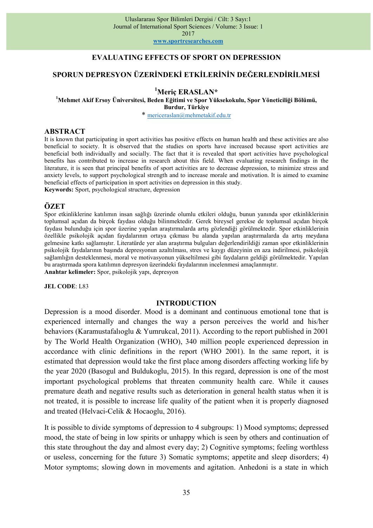www.sportresearches.com

## EVALUATING EFFECTS OF SPORT ON DEPRESSION

## SPORUN DEPRESYON ÜZERİNDEKİ ETKİLERİNİN DEĞERLENDİRİLMESİ

### <sup>1</sup>Meric ERASLAN\*

<sup>1</sup>Mehmet Akif Ersoy Üniversitesi, Beden Eğitimi ve Spor Yüksekokulu, Spor Yöneticiliği Bölümü, Burdur, Türkiye

\* mericeraslan@mehmetakif.edu.tr

#### ABSTRACT

It is known that participating in sport activities has positive effects on human health and these activities are also beneficial to society. It is observed that the studies on sports have increased because sport activities are beneficial both individually and socially. The fact that it is revealed that sport activities have psychological benefits has contributed to increase in research about this field. When evaluating research findings in the literature, it is seen that principal benefits of sport activities are to decrease depression, to minimize stress and anxiety levels, to support psychological strength and to increase morale and motivation. It is aimed to examine beneficial effects of participation in sport activities on depression in this study.

Keywords: Sport, psychological structure, depression

## **ÖZET**

Spor etkinliklerine katılımın insan sağlığı üzerinde olumlu etkileri olduğu, bunun yanında spor etkinliklerinin toplumsal açıdan da birçok faydası olduğu bilinmektedir. Gerek bireysel gerekse de toplumsal açıdan birçok faydası bulunduğu için spor üzerine yapılan araştırmalarda artış gözlendiği görülmektedir. Spor etkinliklerinin özellikle psikolojik açıdan faydalarının ortaya çıkması bu alanda yapılan araştırmalarda da artış meydana gelmesine katkı sağlamıştır. Literatürde yer alan araştırma bulguları değerlendirildiği zaman spor etkinliklerinin psikolojik faydalarının başında depresyonun azaltılması, stres ve kaygı düzeyinin en aza indirilmesi, psikolojik sağlamlığın desteklenmesi, moral ve motivasyonun yükseltilmesi gibi faydaların geldiği görülmektedir. Yapılan bu araştırmada spora katılımın depresyon üzerindeki faydalarının incelenmesi amaçlanmıştır. Anahtar kelimeler: Spor, psikolojik yapı, depresyon

### JEL CODE: L83

#### INTRODUCTION

Depression is a mood disorder. Mood is a dominant and continuous emotional tone that is experienced internally and changes the way a person perceives the world and his/her behaviors (Karamustafalıoglu & Yumrukcal, 2011). According to the report published in 2001 by The World Health Organization (WHO), 340 million people experienced depression in accordance with clinic definitions in the report (WHO 2001). In the same report, it is estimated that depression would take the first place among disorders affecting working life by the year 2020 (Basogul and Buldukoglu, 2015). In this regard, depression is one of the most important psychological problems that threaten community health care. While it causes premature death and negative results such as deterioration in general health status when it is not treated, it is possible to increase life quality of the patient when it is properly diagnosed and treated (Helvaci-Celik & Hocaoglu, 2016).

It is possible to divide symptoms of depression to 4 subgroups: 1) Mood symptoms; depressed mood, the state of being in low spirits or unhappy which is seen by others and continuation of this state throughout the day and almost every day; 2) Cognitive symptoms; feeling worthless or useless, concerning for the future 3) Somatic symptoms; appetite and sleep disorders; 4) Motor symptoms; slowing down in movements and agitation. Anhedoni is a state in which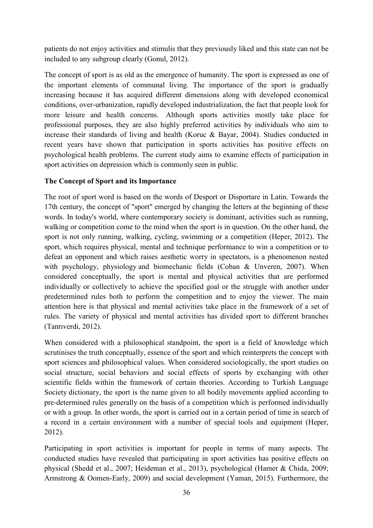patients do not enjoy activities and stimulis that they previously liked and this state can not be included to any subgroup clearly (Gonul, 2012).

The concept of sport is as old as the emergence of humanity. The sport is expressed as one of the important elements of communal living. The importance of the sport is gradually increasing because it has acquired different dimensions along with developed economical conditions, over-urbanization, rapidly developed industrialization, the fact that people look for more leisure and health concerns. Although sports activities mostly take place for professional purposes, they are also highly preferred activities by individuals who aim to increase their standards of living and health (Koruc & Bayar, 2004). Studies conducted in recent years have shown that participation in sports activities has positive effects on psychological health problems. The current study aims to examine effects of participation in sport activities on depression which is commonly seen in public.

# The Concept of Sport and its Importance

The root of sport word is based on the words of Desport or Disportare in Latin. Towards the 17th century, the concept of "sport" emerged by changing the letters at the beginning of these words. In today's world, where contemporary society is dominant, activities such as running, walking or competition come to the mind when the sport is in question. On the other hand, the sport is not only running, walking, cycling, swimming or a competition (Heper, 2012). The sport, which requires physical, mental and technique performance to win a competition or to defeat an opponent and which raises aesthetic worry in spectators, is a phenomenon nested with psychology, physiology and biomechanic fields (Coban & Unveren, 2007). When considered conceptually, the sport is mental and physical activities that are performed individually or collectively to achieve the specified goal or the struggle with another under predetermined rules both to perform the competition and to enjoy the viewer. The main attention here is that physical and mental activities take place in the framework of a set of rules. The variety of physical and mental activities has divided sport to different branches (Tanrıverdi, 2012).

When considered with a philosophical standpoint, the sport is a field of knowledge which scrutinises the truth conceptually, essence of the sport and which reinterprets the concept with sport sciences and philosophical values. When considered sociologically, the sport studies on social structure, social behaviors and social effects of sports by exchanging with other scientific fields within the framework of certain theories. According to Turkish Language Society dictionary, the sport is the name given to all bodily movements applied according to pre-determined rules generally on the basis of a competition which is performed individually or with a group. In other words, the sport is carried out in a certain period of time in search of a record in a certain environment with a number of special tools and equipment (Heper, 2012).

Participating in sport activities is important for people in terms of many aspects. The conducted studies have revealed that participating in sport activities has positive effects on physical (Shedd et al., 2007; Heideman et al., 2013), psychological (Hamer & Chida, 2009; Armstrong & Oomen-Early, 2009) and social development (Yaman, 2015). Furthermore, the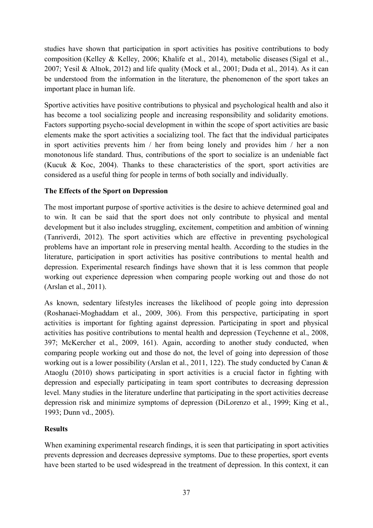studies have shown that participation in sport activities has positive contributions to body composition (Kelley & Kelley, 2006; Khalife et al., 2014), metabolic diseases (Sigal et al., 2007; Yesil & Altıok, 2012) and life quality (Mock et al., 2001; Duda et al., 2014). As it can be understood from the information in the literature, the phenomenon of the sport takes an important place in human life.

Sportive activities have positive contributions to physical and psychological health and also it has become a tool socializing people and increasing responsibility and solidarity emotions. Factors supporting psycho-social development in within the scope of sport activities are basic elements make the sport activities a socializing tool. The fact that the individual participates in sport activities prevents him / her from being lonely and provides him / her a non monotonous life standard. Thus, contributions of the sport to socialize is an undeniable fact (Kucuk & Koc, 2004). Thanks to these characteristics of the sport, sport activities are considered as a useful thing for people in terms of both socially and individually.

# The Effects of the Sport on Depression

The most important purpose of sportive activities is the desire to achieve determined goal and to win. It can be said that the sport does not only contribute to physical and mental development but it also includes struggling, excitement, competition and ambition of winning (Tanriverdi, 2012). The sport activities which are effective in preventing psychological problems have an important role in preserving mental health. According to the studies in the literature, participation in sport activities has positive contributions to mental health and depression. Experimental research findings have shown that it is less common that people working out experience depression when comparing people working out and those do not (Arslan et al., 2011).

As known, sedentary lifestyles increases the likelihood of people going into depression (Roshanaei-Moghaddam et al., 2009, 306). From this perspective, participating in sport activities is important for fighting against depression. Participating in sport and physical activities has positive contributions to mental health and depression (Teychenne et al., 2008, 397; McKercher et al., 2009, 161). Again, according to another study conducted, when comparing people working out and those do not, the level of going into depression of those working out is a lower possibility (Arslan et al., 2011, 122). The study conducted by Canan & Ataoglu (2010) shows participating in sport activities is a crucial factor in fighting with depression and especially participating in team sport contributes to decreasing depression level. Many studies in the literature underline that participating in the sport activities decrease depression risk and minimize symptoms of depression (DiLorenzo et al., 1999; King et al., 1993; Dunn vd., 2005).

# **Results**

When examining experimental research findings, it is seen that participating in sport activities prevents depression and decreases depressive symptoms. Due to these properties, sport events have been started to be used widespread in the treatment of depression. In this context, it can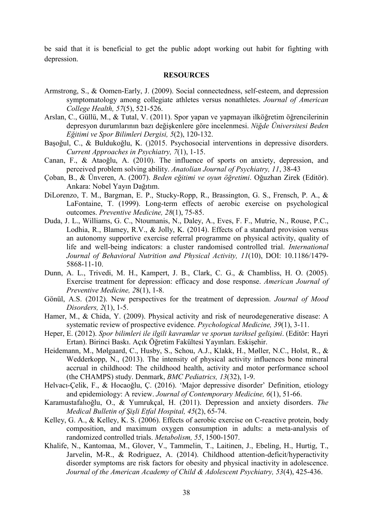be said that it is beneficial to get the public adopt working out habit for fighting with depression.

### RESOURCES

- Armstrong, S., & Oomen-Early, J. (2009). Social connectedness, self-esteem, and depression symptomatology among collegiate athletes versus nonathletes. Journal of American College Health, 57(5), 521-526.
- Arslan, C., Güllü, M., & Tutal, V. (2011). Spor yapan ve yapmayan ilköğretim öğrencilerinin depresyon durumlarının bazı değişkenlere göre incelenmesi. Niğde Üniversitesi Beden Eğitimi ve Spor Bilimleri Dergisi, 5(2), 120-132.
- Başoğul, C., & Buldukoğlu, K. ()2015. Psychosocial interventions in depressive disorders. Current Approaches in Psychiatry, 7(1), 1-15.
- Canan, F., & Ataoğlu, A. (2010). The influence of sports on anxiety, depression, and perceived problem solving ability. Anatolian Journal of Psychiatry, 11, 38-43
- Çoban, B., & Ünveren, A. (2007). Beden eğitimi ve oyun öğretimi. Oğuzhan Zirek (Editör). Ankara: Nobel Yayın Dağıtım.
- DiLorenzo, T. M., Bargman, E. P., Stucky-Ropp, R., Brassington, G. S., Frensch, P. A., & LaFontaine, T. (1999). Long-term effects of aerobic exercise on psychological outcomes. Preventive Medicine, 28(1), 75-85.
- Duda, J. L., Williams, G. C., Ntoumanis, N., Daley, A., Eves, F. F., Mutrie, N., Rouse, P.C., Lodhia, R., Blamey, R.V., & Jolly, K. (2014). Effects of a standard provision versus an autonomy supportive exercise referral programme on physical activity, quality of life and well-being indicators: a cluster randomised controlled trial. International Journal of Behavioral Nutrition and Physical Activity, 11(10), DOI: 10.1186/1479- 5868-11-10.
- Dunn, A. L., Trivedi, M. H., Kampert, J. B., Clark, C. G., & Chambliss, H. O. (2005). Exercise treatment for depression: efficacy and dose response. American Journal of Preventive Medicine, 28(1), 1-8.
- Gönül, A.S. (2012). New perspectives for the treatment of depression. Journal of Mood Disorders, 2(1), 1-5.
- Hamer, M., & Chida, Y. (2009). Physical activity and risk of neurodegenerative disease: A systematic review of prospective evidence. Psychological Medicine, 39(1), 3-11.
- Heper, E. (2012). Spor bilimleri ile ilgili kavramlar ve sporun tarihsel gelişimi. (Editör: Hayri Ertan). Birinci Baskı. Açık Öğretim Fakültesi Yayınları. Eskişehir.
- Heidemann, M., Mølgaard, C., Husby, S., Schou, A.J., Klakk, H., Møller, N.C., Holst, R., & Wedderkopp, N., (2013). The intensity of physical activity influences bone mineral accrual in childhood: The childhood health, activity and motor performance school (the CHAMPS) study. Denmark, BMC Pediatrics, 13(32), 1-9.
- Helvacı-Çelik, F., & Hocaoğlu, Ç. (2016). 'Major depressive disorder' Definition, etiology and epidemiology: A review. Journal of Contemporary Medicine, 6(1), 51-66.
- Karamustafalıoğlu, O., & Yumrukçal, H. (2011). Depression and anxiety disorders. The Medical Bulletin of Şişli Etfal Hospital, 45(2), 65-74.
- Kelley, G. A., & Kelley, K. S. (2006). Effects of aerobic exercise on C-reactive protein, body composition, and maximum oxygen consumption in adults: a meta-analysis of randomized controlled trials. Metabolism, 55, 1500-1507.
- Khalife, N., Kantomaa, M., Glover, V., Tammelin, T., Laitinen, J., Ebeling, H., Hurtig, T., Jarvelin, M-R., & Rodriguez, A. (2014). Childhood attention-deficit/hyperactivity disorder symptoms are risk factors for obesity and physical inactivity in adolescence. Journal of the American Academy of Child & Adolescent Psychiatry, 53(4), 425-436.